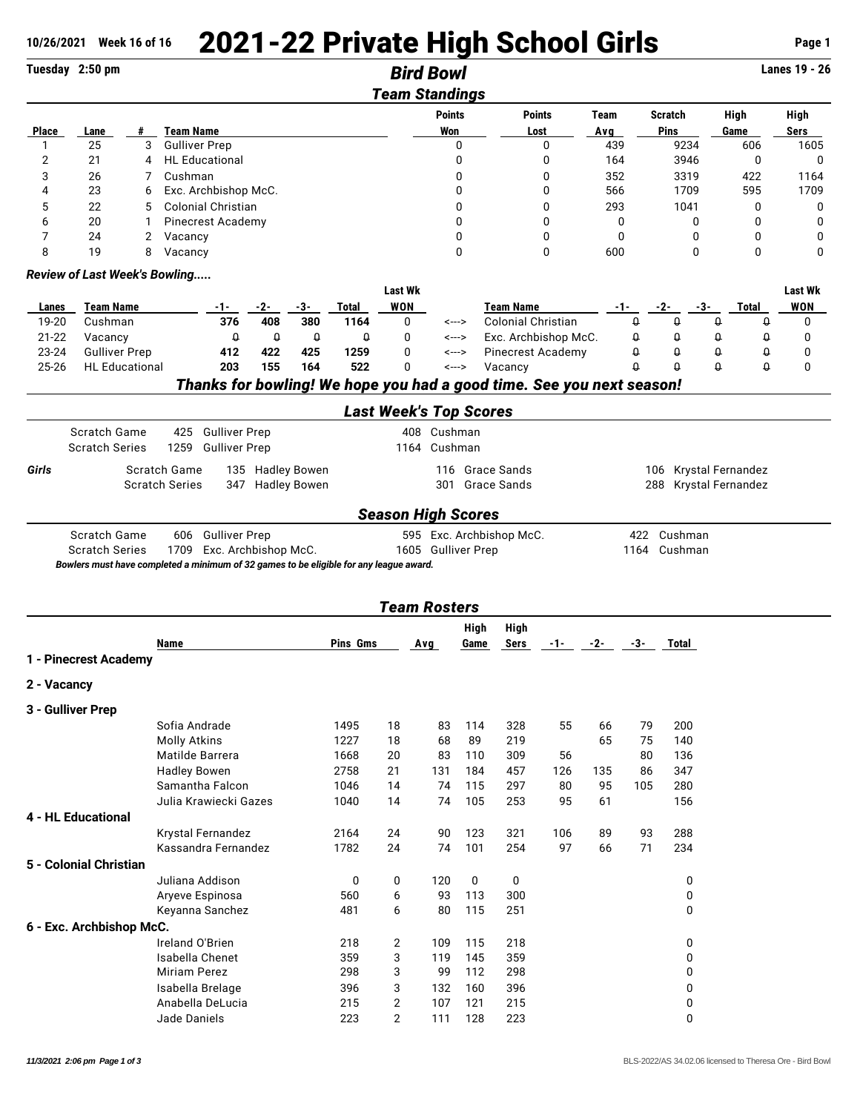## 10/26/2021 Week 16 of 16 **2021-22 Private High School Girls <b>Page 1** Page 1

|                   | Tuesday 2:50 pm               |   |                                                                                        |                      |                                                                       |                | <b>Bird Bowl</b>              |              |                           |                          |                    |                    |                        |          |                   | <b>Lanes 19 - 26</b> |
|-------------------|-------------------------------|---|----------------------------------------------------------------------------------------|----------------------|-----------------------------------------------------------------------|----------------|-------------------------------|--------------|---------------------------|--------------------------|--------------------|--------------------|------------------------|----------|-------------------|----------------------|
|                   |                               |   |                                                                                        |                      |                                                                       |                | <b>Team Standings</b>         |              |                           |                          |                    |                    |                        |          |                   |                      |
| Place             | Lane                          | # | <b>Team Name</b>                                                                       |                      |                                                                       |                | <b>Points</b><br>Won          |              |                           | <b>Points</b><br>Lost    | <b>Team</b><br>Avg |                    | <b>Scratch</b><br>Pins |          | High<br>Game      | High<br>Sers         |
| $\mathbf{1}$      | 25                            | 3 | <b>Gulliver Prep</b>                                                                   |                      |                                                                       |                |                               | 0            |                           | 0                        | 439                |                    | 9234                   |          | 606               | 1605                 |
| $\overline{2}$    | 21                            | 4 | <b>HL</b> Educational                                                                  |                      |                                                                       |                |                               | 0            |                           | 0                        | 164                |                    | 3946                   |          | 0                 | 0                    |
| 3                 | 26                            | 7 | Cushman                                                                                |                      |                                                                       |                |                               | 0            |                           | 0                        | 352                |                    | 3319                   |          | 422               | 1164                 |
| 4                 | 23                            | 6 | Exc. Archbishop McC.                                                                   |                      |                                                                       |                |                               | 0            |                           | 0                        | 566                |                    | 1709                   |          | 595               | 1709                 |
| 5                 | 22                            | 5 | <b>Colonial Christian</b>                                                              |                      |                                                                       |                |                               | $\mathbf{0}$ |                           | $\mathbf 0$              | 293                |                    | 1041                   |          | 0                 | 0                    |
| 6                 | 20                            | 1 | <b>Pinecrest Academy</b>                                                               |                      |                                                                       |                |                               | 0            |                           | 0                        | 0                  |                    |                        | 0        | $\Omega$          | $\mathbf 0$          |
| 7                 | 24                            | 2 | Vacancy                                                                                |                      |                                                                       |                |                               | 0            |                           | 0                        | $\mathbf 0$        |                    |                        | 0        | 0                 | 0                    |
| 8                 | 19                            | 8 | Vacancy                                                                                |                      |                                                                       |                |                               | 0            |                           | 0                        | 600                |                    |                        | 0        | 0                 | 0                    |
|                   | Review of Last Week's Bowling |   |                                                                                        |                      |                                                                       | <b>Last Wk</b> |                               |              |                           |                          |                    |                    |                        |          |                   | <b>Last Wk</b>       |
| Lanes             | <b>Team Name</b>              |   | -1-                                                                                    | -2-                  | -3-<br><b>Total</b>                                                   | WON            |                               |              | <b>Team Name</b>          |                          | -1-                |                    | -2-                    | -3-      | Total             | <b>WON</b>           |
| 19-20             | Cushman                       |   | 376                                                                                    | 408                  | 380<br>1164                                                           | 0              |                               | <--->        | <b>Colonial Christian</b> |                          |                    | $\theta$           | 0                      | Q        | 0                 | 0                    |
| 21-22             | Vacancy                       |   | Q                                                                                      | $\pmb{\mathsf{Q}}$   | $\pmb{\mathsf{Q}}$<br>Û                                               | 0              |                               | <--->        |                           | Exc. Archbishop McC.     |                    | $\theta$           | Q                      | 0        | Q                 | 0                    |
| 23-24             | <b>Gulliver Prep</b>          |   | 412                                                                                    | 422                  | 425<br>1259                                                           | 0              |                               | <--->        |                           | <b>Pinecrest Academy</b> |                    | $\pmb{\mathsf{Q}}$ | $\theta$               | $\theta$ | Û                 | 0                    |
| 25-26             | <b>HL</b> Educational         |   | 203                                                                                    | 155                  | 164<br>522                                                            | 0              |                               | <--->        | Vacancy                   |                          |                    | $\theta$           | $\Omega$               | $\Omega$ | $\theta$          | 0                    |
|                   |                               |   |                                                                                        |                      | Thanks for bowling! We hope you had a good time. See you next season! |                |                               |              |                           |                          |                    |                    |                        |          |                   |                      |
|                   |                               |   |                                                                                        |                      |                                                                       |                | <b>Last Week's Top Scores</b> |              |                           |                          |                    |                    |                        |          |                   |                      |
|                   | Scratch Game                  |   | <b>Gulliver Prep</b><br>425                                                            |                      |                                                                       |                | 408 Cushman                   |              |                           |                          |                    |                    |                        |          |                   |                      |
|                   | <b>Scratch Series</b>         |   | 1259<br><b>Gulliver Prep</b>                                                           |                      |                                                                       |                | 1164                          | Cushman      |                           |                          |                    |                    |                        |          |                   |                      |
| Girls             |                               |   | Scratch Game                                                                           | 135 Hadley Bowen     |                                                                       |                |                               |              | 116 Grace Sands           |                          |                    |                    | 106                    |          | Krystal Fernandez |                      |
|                   |                               |   | <b>Scratch Series</b>                                                                  | 347 Hadley Bowen     |                                                                       |                |                               |              | 301 Grace Sands           |                          |                    |                    | 288                    |          | Krystal Fernandez |                      |
|                   |                               |   |                                                                                        |                      |                                                                       |                | <b>Season High Scores</b>     |              |                           |                          |                    |                    |                        |          |                   |                      |
|                   | Scratch Game                  |   | <b>Gulliver Prep</b><br>606                                                            |                      |                                                                       |                |                               |              | 595 Exc. Archbishop McC.  |                          |                    |                    | 422 Cushman            |          |                   |                      |
|                   | <b>Scratch Series</b>         |   | 1709                                                                                   | Exc. Archbishop McC. |                                                                       |                | 1605 Gulliver Prep            |              |                           |                          |                    | 1164               | Cushman                |          |                   |                      |
|                   |                               |   | Bowlers must have completed a minimum of 32 games to be eligible for any league award. |                      |                                                                       |                |                               |              |                           |                          |                    |                    |                        |          |                   |                      |
|                   |                               |   |                                                                                        |                      |                                                                       |                | <b>Team Rosters</b>           |              |                           |                          |                    |                    |                        |          |                   |                      |
|                   |                               |   |                                                                                        |                      |                                                                       |                |                               | High         | High                      |                          |                    |                    |                        |          |                   |                      |
|                   | 1 - Pinecrest Academy         |   | Name                                                                                   |                      | <b>Pins Gms</b>                                                       |                | Avg                           | Game         | Sers                      | -1-                      | -2-                | -3-                | Total                  |          |                   |                      |
| 2 - Vacancy       |                               |   |                                                                                        |                      |                                                                       |                |                               |              |                           |                          |                    |                    |                        |          |                   |                      |
|                   |                               |   |                                                                                        |                      |                                                                       |                |                               |              |                           |                          |                    |                    |                        |          |                   |                      |
| 3 - Gulliver Prep |                               |   |                                                                                        |                      |                                                                       |                |                               |              |                           |                          |                    |                    |                        |          |                   |                      |
|                   |                               |   | Sofia Andrade                                                                          |                      | 1495                                                                  | 18             | 83                            | 114          | 328                       | 55                       | 66                 | 79                 | 200                    |          |                   |                      |
|                   |                               |   | <b>Molly Atkins</b>                                                                    |                      | 1227                                                                  | 18             | 68<br>83                      | 89<br>110    | 219                       | 56                       | 65                 | 75                 | 140                    |          |                   |                      |
|                   |                               |   | Matilde Barrera                                                                        |                      | 1668                                                                  | 20             |                               |              | 309                       |                          |                    | 80                 | 136                    |          |                   |                      |
|                   |                               |   | <b>Hadley Bowen</b>                                                                    |                      | 2758                                                                  | 21             | 131                           | 184          | 457                       | 126                      | 135                | 86                 | 347                    |          |                   |                      |
|                   |                               |   | Samantha Falcon                                                                        |                      | 1046                                                                  | 14             | 74                            | 115          | 297                       | 80                       | 95                 | 105                | 280                    |          |                   |                      |
|                   |                               |   | Julia Krawiecki Gazes                                                                  |                      | 1040                                                                  | 14             | 74                            | 105          | 253                       | 95                       | 61                 |                    | 156                    |          |                   |                      |
|                   | <b>4 - HL Educational</b>     |   |                                                                                        |                      |                                                                       |                |                               |              |                           |                          |                    |                    |                        |          |                   |                      |
|                   |                               |   | Krystal Fernandez                                                                      |                      | 2164                                                                  | 24             | 90                            | 123          | 321                       | 106                      | 89                 | 93                 | 288                    |          |                   |                      |
|                   |                               |   | Kassandra Fernandez                                                                    |                      | 1782                                                                  | 24             | 74                            | 101          | 254                       | 97                       | 66                 | 71                 | 234                    |          |                   |                      |
|                   | 5 - Colonial Christian        |   |                                                                                        |                      |                                                                       |                |                               |              |                           |                          |                    |                    |                        |          |                   |                      |
|                   |                               |   | Juliana Addison                                                                        |                      | $\bf{0}$                                                              | 0              | 120                           | 0            | 0                         |                          |                    |                    | 0                      |          |                   |                      |
|                   |                               |   | Aryeve Espinosa                                                                        |                      | 560                                                                   | 6              | 93                            | 113          | 300                       |                          |                    |                    | 0                      |          |                   |                      |
|                   |                               |   | Keyanna Sanchez                                                                        |                      | 481                                                                   | 6              | 80                            | 115          | 251                       |                          |                    |                    | 0                      |          |                   |                      |
|                   | 6 - Exc. Archbishop McC.      |   |                                                                                        |                      |                                                                       |                |                               |              |                           |                          |                    |                    |                        |          |                   |                      |
|                   |                               |   | Ireland O'Brien                                                                        |                      | 218                                                                   | $\overline{2}$ | 109                           | 115          | 218                       |                          |                    |                    | 0                      |          |                   |                      |
|                   |                               |   | Isabella Chenet                                                                        |                      | 359                                                                   | 3              | 119                           | 145          | 359                       |                          |                    |                    | 0                      |          |                   |                      |
|                   |                               |   | Miriam Perez                                                                           |                      | 298                                                                   | 3              | 99                            | 112          | 298                       |                          |                    |                    | 0                      |          |                   |                      |
|                   |                               |   | Isabella Brelage                                                                       |                      | 396                                                                   | 3              | 132                           | 160          | 396                       |                          |                    |                    | 0                      |          |                   |                      |
|                   |                               |   | Anabella DeLucia                                                                       |                      | 215                                                                   | 2              | 107                           | 121          | 215                       |                          |                    |                    | 0                      |          |                   |                      |
|                   |                               |   | Jade Daniels                                                                           |                      | 223                                                                   | $\overline{2}$ | 111                           | 128          | 223                       |                          |                    |                    | 0                      |          |                   |                      |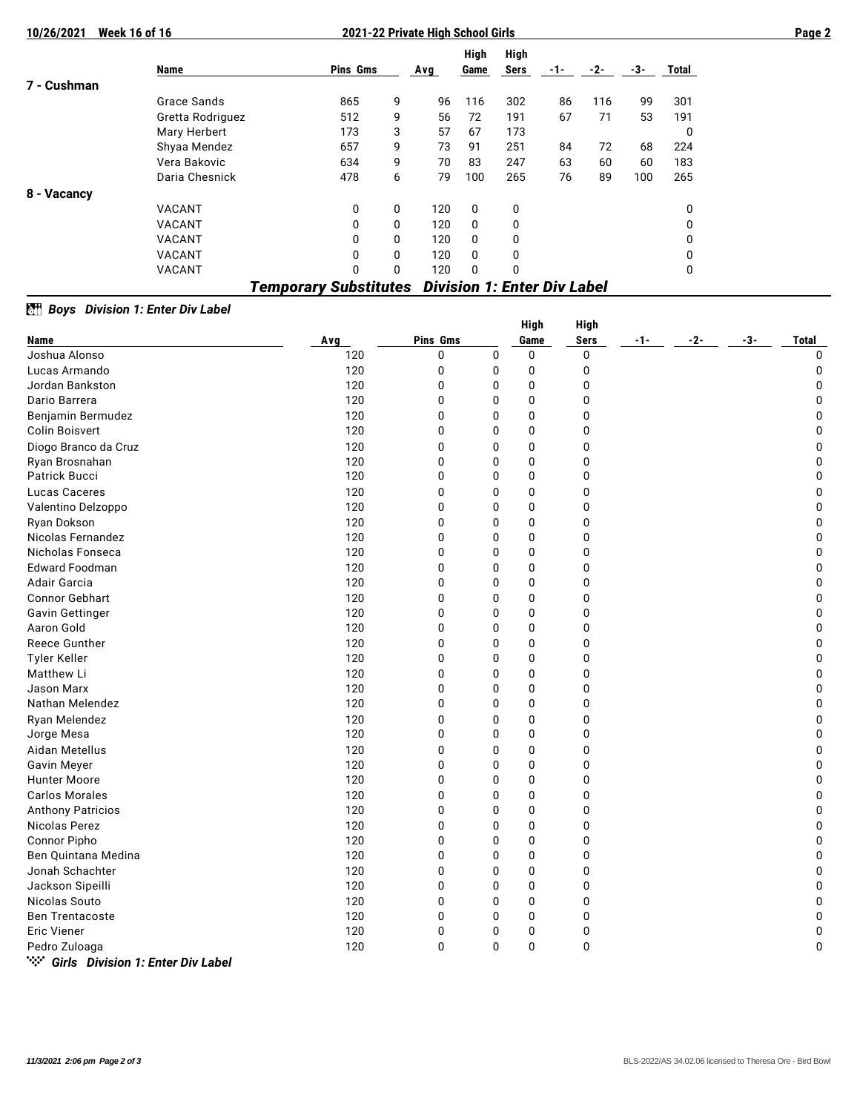| 10/26/2021                                                         | <b>Week 16 of 16</b> | 2021-22 Private High School Girls |   |     |              |              |     |     |       |       |  |  |
|--------------------------------------------------------------------|----------------------|-----------------------------------|---|-----|--------------|--------------|-----|-----|-------|-------|--|--|
|                                                                    | Name                 | Pins Gms                          |   | Avg | High<br>Game | High<br>Sers | -1- | -2- | $-3-$ | Total |  |  |
| 7 - Cushman                                                        |                      |                                   |   |     |              |              |     |     |       |       |  |  |
|                                                                    | Grace Sands          | 865                               | 9 | 96  | 116          | 302          | 86  | 116 | 99    | 301   |  |  |
|                                                                    | Gretta Rodriguez     | 512                               | 9 | 56  | 72           | 191          | 67  | 71  | 53    | 191   |  |  |
|                                                                    | Mary Herbert         | 173                               | 3 | 57  | 67           | 173          |     |     |       | 0     |  |  |
|                                                                    | Shyaa Mendez         | 657                               | 9 | 73  | 91           | 251          | 84  | 72  | 68    | 224   |  |  |
|                                                                    | Vera Bakovic         | 634                               | 9 | 70  | 83           | 247          | 63  | 60  | 60    | 183   |  |  |
|                                                                    | Daria Chesnick       | 478                               | 6 | 79  | 100          | 265          | 76  | 89  | 100   | 265   |  |  |
| 8 - Vacancy                                                        |                      |                                   |   |     |              |              |     |     |       |       |  |  |
|                                                                    | VACANT               | 0                                 | 0 | 120 | $\mathbf{0}$ | 0            |     |     |       | 0     |  |  |
|                                                                    | VACANT               | 0                                 | 0 | 120 | $\mathbf{0}$ | 0            |     |     |       | 0     |  |  |
|                                                                    | VACANT               | 0                                 | 0 | 120 | $\mathbf{0}$ | 0            |     |     |       | 0     |  |  |
|                                                                    | <b>VACANT</b>        | 0                                 | 0 | 120 | $\mathbf{0}$ | 0            |     |     |       | 0     |  |  |
|                                                                    | <b>VACANT</b>        | 0                                 | 0 | 120 | 0            | 0            |     |     |       | 0     |  |  |
| <b>Division 1: Enter Div Label</b><br><b>Temporary Substitutes</b> |                      |                                   |   |     |              |              |     |     |       |       |  |  |

## *BH* Boys Division 1: Enter Div Label

|                                       |     |             |   | <b>High</b>  | <b>High</b> |     |       |     |              |
|---------------------------------------|-----|-------------|---|--------------|-------------|-----|-------|-----|--------------|
| Name                                  | Avg | Pins Gms    |   | Game         | <b>Sers</b> | -1- | $-2-$ | -3- | <b>Total</b> |
| Joshua Alonso                         | 120 | 0           | 0 | 0            | 0           |     |       |     | $\mathbf 0$  |
| Lucas Armando                         | 120 | 0           | 0 | 0            | 0           |     |       |     | 0            |
| Jordan Bankston                       | 120 | 0           | 0 | 0            | $\mathbf 0$ |     |       |     | 0            |
| Dario Barrera                         | 120 | $\mathbf 0$ | 0 | $\mathbf 0$  | $\mathbf 0$ |     |       |     | $\mathbf 0$  |
| Benjamin Bermudez                     | 120 | 0           | 0 | 0            | 0           |     |       |     | $\mathbf 0$  |
| <b>Colin Boisvert</b>                 | 120 | 0           | 0 | $\mathbf 0$  | 0           |     |       |     | 0            |
| Diogo Branco da Cruz                  | 120 | 0           | 0 | $\mathbf 0$  | 0           |     |       |     | 0            |
| Ryan Brosnahan                        | 120 | 0           | 0 | $\mathbf{0}$ | $\mathbf 0$ |     |       |     | $\mathbf 0$  |
| Patrick Bucci                         | 120 | $\mathbf 0$ | 0 | $\mathbf 0$  | $\mathbf 0$ |     |       |     | $\pmb{0}$    |
| Lucas Caceres                         | 120 | 0           | 0 | $\mathbf 0$  | 0           |     |       |     | $\mathbf 0$  |
| Valentino Delzoppo                    | 120 | 0           | 0 | $\mathbf 0$  | $\mathbf 0$ |     |       |     | 0            |
| Ryan Dokson                           | 120 | 0           | 0 | $\mathbf 0$  | 0           |     |       |     | $\mathbf 0$  |
| Nicolas Fernandez                     | 120 | $\mathbf 0$ | 0 | 0            | 0           |     |       |     | 0            |
| Nicholas Fonseca                      | 120 | 0           | 0 | $\mathbf{0}$ | 0           |     |       |     | $\mathbf 0$  |
| <b>Edward Foodman</b>                 | 120 | 0           | 0 | $\mathbf 0$  | $\mathbf 0$ |     |       |     | 0            |
| Adair Garcia                          | 120 | 0           | 0 | $\mathbf{0}$ | 0           |     |       |     | $\mathbf 0$  |
| Connor Gebhart                        | 120 | 0           | 0 | $\mathbf 0$  | $\mathbf 0$ |     |       |     | 0            |
| Gavin Gettinger                       | 120 | 0           | 0 | $\mathbf 0$  | $\mathbf 0$ |     |       |     | $\pmb{0}$    |
| Aaron Gold                            | 120 | 0           | 0 | $\mathbf 0$  | 0           |     |       |     | $\pmb{0}$    |
| Reece Gunther                         | 120 | $\mathbf 0$ | 0 | $\mathbf 0$  | $\mathbf 0$ |     |       |     | $\mathbf 0$  |
| Tyler Keller                          | 120 | 0           | 0 | 0            | $\mathbf 0$ |     |       |     | $\pmb{0}$    |
| Matthew Li                            | 120 | $\Omega$    | 0 | $\mathbf{0}$ | 0           |     |       |     | 0            |
| Jason Marx                            | 120 | 0           | 0 | $\mathbf 0$  | 0           |     |       |     | 0            |
| Nathan Melendez                       | 120 | 0           | 0 | $\Omega$     | 0           |     |       |     | $\mathbf 0$  |
| Ryan Melendez                         | 120 | 0           | 0 | $\mathbf 0$  | 0           |     |       |     | 0            |
| Jorge Mesa                            | 120 | 0           | 0 | $\mathbf 0$  | 0           |     |       |     | $\pmb{0}$    |
| Aidan Metellus                        | 120 | 0           | 0 | $\mathbf 0$  | $\mathbf 0$ |     |       |     | $\pmb{0}$    |
| Gavin Meyer                           | 120 | $\mathbf 0$ | 0 | 0            | 0           |     |       |     | $\pmb{0}$    |
| <b>Hunter Moore</b>                   | 120 | 0           | 0 | 0            | 0           |     |       |     | $\pmb{0}$    |
| <b>Carlos Morales</b>                 | 120 | 0           | 0 | $\mathbf 0$  | 0           |     |       |     | $\pmb{0}$    |
| <b>Anthony Patricios</b>              | 120 | 0           | 0 | $\mathbf{0}$ | 0           |     |       |     | $\pmb{0}$    |
| Nicolas Perez                         | 120 | 0           | 0 | $\mathbf{0}$ | 0           |     |       |     | $\mathbf 0$  |
| <b>Connor Pipho</b>                   | 120 | 0           | 0 | 0            | 0           |     |       |     | $\pmb{0}$    |
| Ben Quintana Medina                   | 120 | 0           | 0 | $\mathbf 0$  | 0           |     |       |     | 0            |
| Jonah Schachter                       | 120 | 0           | 0 | $\mathbf 0$  | 0           |     |       |     | $\pmb{0}$    |
| Jackson Sipeilli                      | 120 | $\mathbf 0$ | 0 | 0            | 0           |     |       |     | $\mathbf 0$  |
| Nicolas Souto                         | 120 | 0           | 0 | 0            | $\mathbf 0$ |     |       |     | $\pmb{0}$    |
| <b>Ben Trentacoste</b>                | 120 | 0           | 0 | $\mathbf 0$  | $\mathbf 0$ |     |       |     | $\pmb{0}$    |
| <b>Eric Viener</b>                    | 120 | 0           | 0 | 0            | 0           |     |       |     | 0            |
| Pedro Zuloaga                         | 120 | $\Omega$    | 0 | $\Omega$     | 0           |     |       |     | $\Omega$     |
| "** Girls Division 1: Enter Div Label |     |             |   |              |             |     |       |     |              |